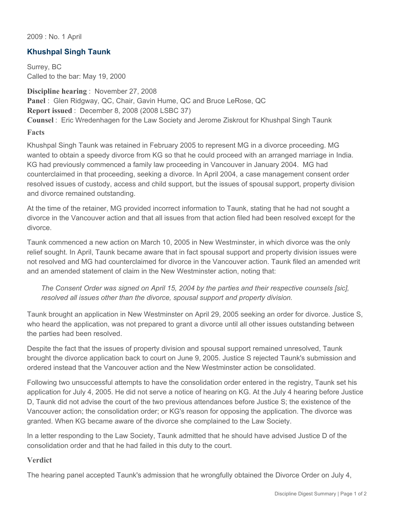2009 : No. 1 April

## **Khushpal Singh Taunk**

Surrey, BC Called to the bar: May 19, 2000

**Discipline hearing** : November 27, 2008 **Panel** : Glen Ridgway, QC, Chair, Gavin Hume, QC and Bruce LeRose, QC **Report issued** : December 8, 2008 (2008 LSBC 37) **Counsel** : Eric Wredenhagen for the Law Society and Jerome Ziskrout for Khushpal Singh Taunk **Facts**

Khushpal Singh Taunk was retained in February 2005 to represent MG in a divorce proceeding. MG wanted to obtain a speedy divorce from KG so that he could proceed with an arranged marriage in India. KG had previously commenced a family law proceeding in Vancouver in January 2004. MG had counterclaimed in that proceeding, seeking a divorce. In April 2004, a case management consent order resolved issues of custody, access and child support, but the issues of spousal support, property division and divorce remained outstanding.

At the time of the retainer, MG provided incorrect information to Taunk, stating that he had not sought a divorce in the Vancouver action and that all issues from that action filed had been resolved except for the divorce.

Taunk commenced a new action on March 10, 2005 in New Westminster, in which divorce was the only relief sought. In April, Taunk became aware that in fact spousal support and property division issues were not resolved and MG had counterclaimed for divorce in the Vancouver action. Taunk filed an amended writ and an amended statement of claim in the New Westminster action, noting that:

*The Consent Order was signed on April 15, 2004 by the parties and their respective counsels [sic], resolved all issues other than the divorce, spousal support and property division.* 

Taunk brought an application in New Westminster on April 29, 2005 seeking an order for divorce. Justice S, who heard the application, was not prepared to grant a divorce until all other issues outstanding between the parties had been resolved.

Despite the fact that the issues of property division and spousal support remained unresolved, Taunk brought the divorce application back to court on June 9, 2005. Justice S rejected Taunk's submission and ordered instead that the Vancouver action and the New Westminster action be consolidated.

Following two unsuccessful attempts to have the consolidation order entered in the registry, Taunk set his application for July 4, 2005. He did not serve a notice of hearing on KG. At the July 4 hearing before Justice D, Taunk did not advise the court of the two previous attendances before Justice S; the existence of the Vancouver action; the consolidation order; or KG's reason for opposing the application. The divorce was granted. When KG became aware of the divorce she complained to the Law Society.

In a letter responding to the Law Society, Taunk admitted that he should have advised Justice D of the consolidation order and that he had failed in this duty to the court.

## **Verdict**

The hearing panel accepted Taunk's admission that he wrongfully obtained the Divorce Order on July 4,